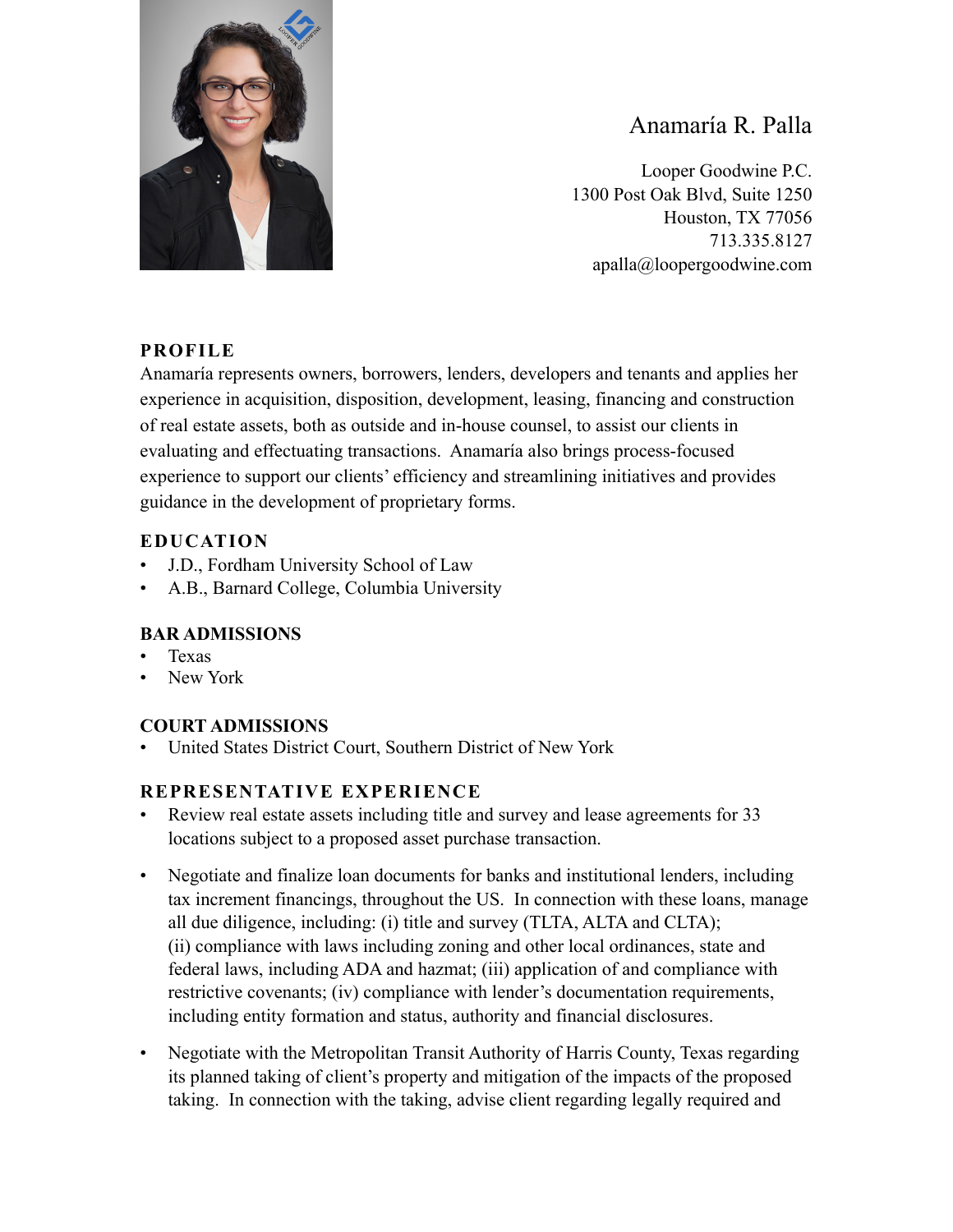

# Anamaría R. Palla

Looper Goodwine P.C. 1300 Post Oak Blvd, Suite 1250 Houston, TX 77056 713.335.8127 apalla@loopergoodwine.com

## **PROFILE**

Anamaría represents owners, borrowers, lenders, developers and tenants and applies her experience in acquisition, disposition, development, leasing, financing and construction of real estate assets, both as outside and in-house counsel, to assist our clients in evaluating and effectuating transactions. Anamaría also brings process-focused experience to support our clients' efficiency and streamlining initiatives and provides guidance in the development of proprietary forms.

### **EDUCATION**

- J.D., Fordham University School of Law
- A.B., Barnard College, Columbia University

### **BAR ADMISSIONS**

- Texas
- New York

### **COURT ADMISSIONS**

• United States District Court, Southern District of New York

### **REPRESENTATIVE EXPERIENCE**

- Review real estate assets including title and survey and lease agreements for 33 locations subject to a proposed asset purchase transaction.
- Negotiate and finalize loan documents for banks and institutional lenders, including tax increment financings, throughout the US. In connection with these loans, manage all due diligence, including: (i) title and survey (TLTA, ALTA and CLTA); (ii) compliance with laws including zoning and other local ordinances, state and federal laws, including ADA and hazmat; (iii) application of and compliance with restrictive covenants; (iv) compliance with lender's documentation requirements, including entity formation and status, authority and financial disclosures.
- Negotiate with the Metropolitan Transit Authority of Harris County, Texas regarding its planned taking of client's property and mitigation of the impacts of the proposed taking. In connection with the taking, advise client regarding legally required and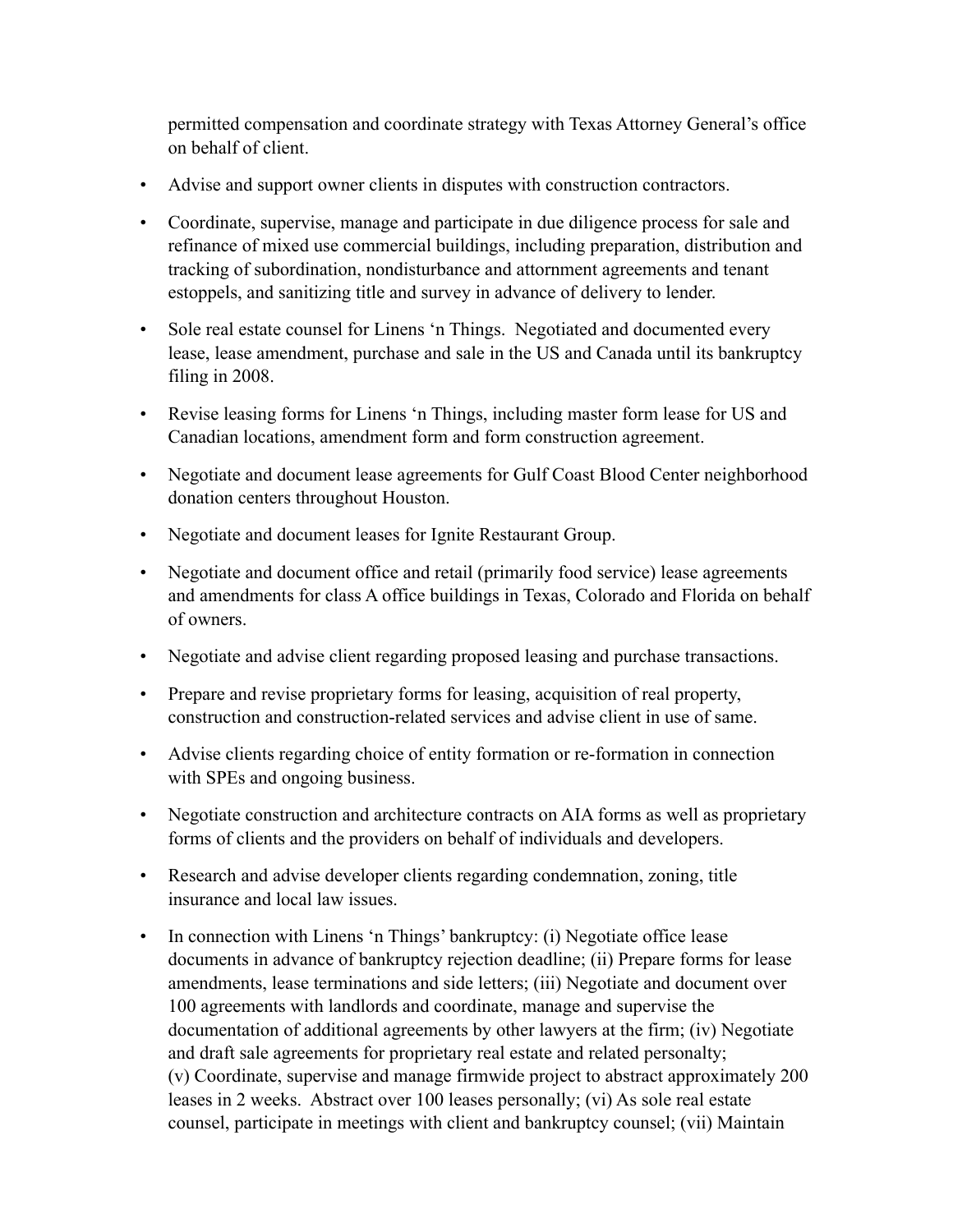permitted compensation and coordinate strategy with Texas Attorney General's office on behalf of client.

- Advise and support owner clients in disputes with construction contractors.
- Coordinate, supervise, manage and participate in due diligence process for sale and refinance of mixed use commercial buildings, including preparation, distribution and tracking of subordination, nondisturbance and attornment agreements and tenant estoppels, and sanitizing title and survey in advance of delivery to lender.
- Sole real estate counsel for Linens 'n Things. Negotiated and documented every lease, lease amendment, purchase and sale in the US and Canada until its bankruptcy filing in 2008.
- Revise leasing forms for Linens 'n Things, including master form lease for US and Canadian locations, amendment form and form construction agreement.
- Negotiate and document lease agreements for Gulf Coast Blood Center neighborhood donation centers throughout Houston.
- Negotiate and document leases for Ignite Restaurant Group.
- Negotiate and document office and retail (primarily food service) lease agreements and amendments for class A office buildings in Texas, Colorado and Florida on behalf of owners.
- Negotiate and advise client regarding proposed leasing and purchase transactions.
- Prepare and revise proprietary forms for leasing, acquisition of real property, construction and construction-related services and advise client in use of same.
- Advise clients regarding choice of entity formation or re-formation in connection with SPEs and ongoing business.
- Negotiate construction and architecture contracts on AIA forms as well as proprietary forms of clients and the providers on behalf of individuals and developers.
- Research and advise developer clients regarding condemnation, zoning, title insurance and local law issues.
- In connection with Linens 'n Things' bankruptcy: (i) Negotiate office lease documents in advance of bankruptcy rejection deadline; (ii) Prepare forms for lease amendments, lease terminations and side letters; (iii) Negotiate and document over 100 agreements with landlords and coordinate, manage and supervise the documentation of additional agreements by other lawyers at the firm; (iv) Negotiate and draft sale agreements for proprietary real estate and related personalty; (v) Coordinate, supervise and manage firmwide project to abstract approximately 200 leases in 2 weeks. Abstract over 100 leases personally; (vi) As sole real estate counsel, participate in meetings with client and bankruptcy counsel; (vii) Maintain